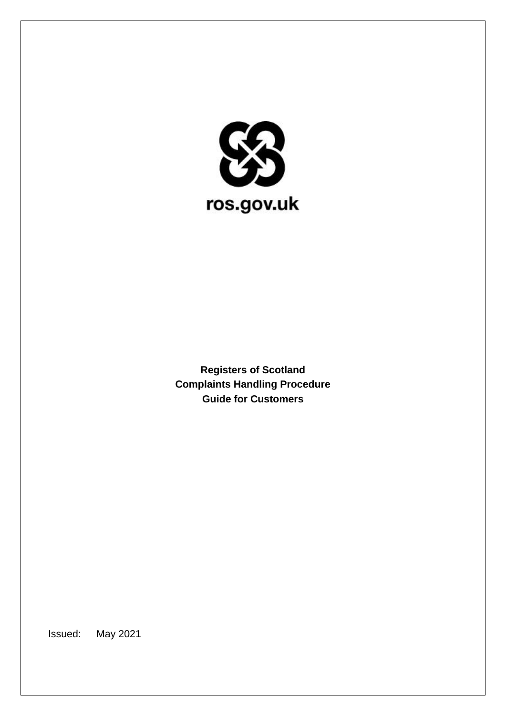

**Registers of Scotland Complaints Handling Procedure Guide for Customers**

Issued: May 2021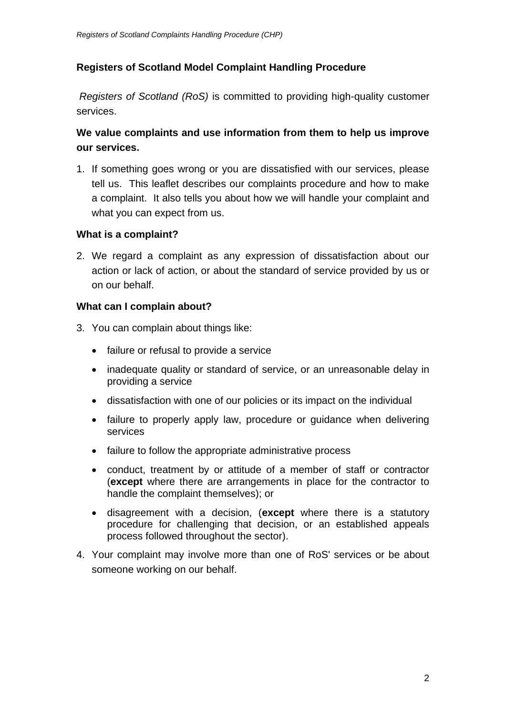# **Registers of Scotland Model Complaint Handling Procedure**

*Registers of Scotland (RoS)* is committed to providing high-quality customer services.

# **We value complaints and use information from them to help us improve our services.**

1. If something goes wrong or you are dissatisfied with our services, please tell us. This leaflet describes our complaints procedure and how to make a complaint. It also tells you about how we will handle your complaint and what you can expect from us.

#### **What is a complaint?**

2. We regard a complaint as any expression of dissatisfaction about our action or lack of action, or about the standard of service provided by us or on our behalf.

#### **What can I complain about?**

- 3. You can complain about things like:
	- failure or refusal to provide a service
	- inadequate quality or standard of service, or an unreasonable delay in providing a service
	- dissatisfaction with one of our policies or its impact on the individual
	- failure to properly apply law, procedure or guidance when delivering services
	- failure to follow the appropriate administrative process
	- conduct, treatment by or attitude of a member of staff or contractor (**except** where there are arrangements in place for the contractor to handle the complaint themselves); or
	- disagreement with a decision, (**except** where there is a statutory procedure for challenging that decision, or an established appeals process followed throughout the sector).
- 4. Your complaint may involve more than one of RoS' services or be about someone working on our behalf.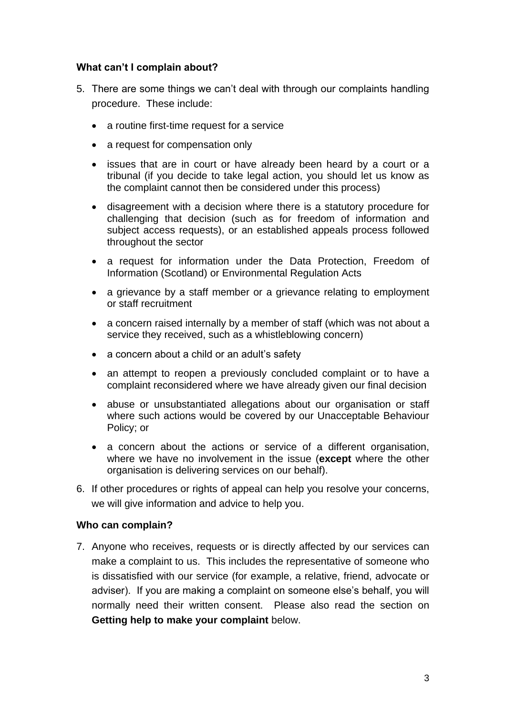#### **What can't I complain about?**

- 5. There are some things we can't deal with through our complaints handling procedure. These include:
	- a routine first-time request for a service
	- a request for compensation only
	- issues that are in court or have already been heard by a court or a tribunal (if you decide to take legal action, you should let us know as the complaint cannot then be considered under this process)
	- disagreement with a decision where there is a statutory procedure for challenging that decision (such as for freedom of information and subject access requests), or an established appeals process followed throughout the sector
	- a request for information under the Data Protection, Freedom of Information (Scotland) or Environmental Regulation Acts
	- a grievance by a staff member or a grievance relating to employment or staff recruitment
	- a concern raised internally by a member of staff (which was not about a service they received, such as a whistleblowing concern)
	- a concern about a child or an adult's safety
	- an attempt to reopen a previously concluded complaint or to have a complaint reconsidered where we have already given our final decision
	- abuse or unsubstantiated allegations about our organisation or staff where such actions would be covered by our Unacceptable Behaviour Policy; or
	- a concern about the actions or service of a different organisation, where we have no involvement in the issue (**except** where the other organisation is delivering services on our behalf).
- 6. If other procedures or rights of appeal can help you resolve your concerns, we will give information and advice to help you.

# **Who can complain?**

7. Anyone who receives, requests or is directly affected by our services can make a complaint to us. This includes the representative of someone who is dissatisfied with our service (for example, a relative, friend, advocate or adviser). If you are making a complaint on someone else's behalf, you will normally need their written consent. Please also read the section on **Getting help to make your complaint** below.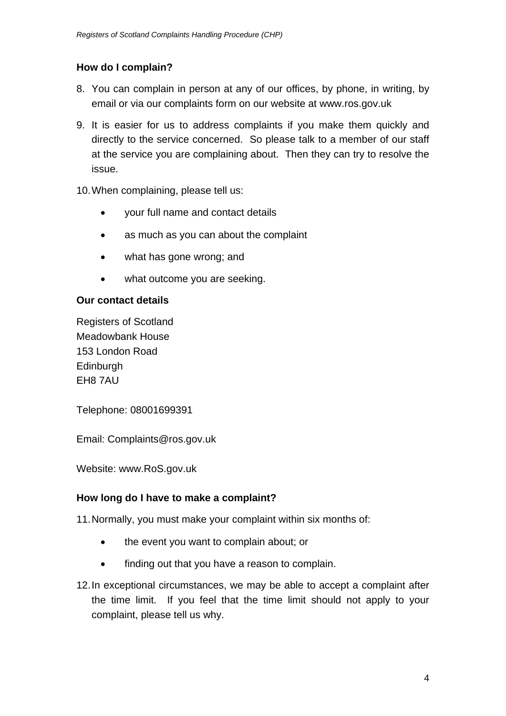# **How do I complain?**

- 8. You can complain in person at any of our offices, by phone, in writing, by email or via our complaints form on our website at www.ros.gov.uk
- 9. It is easier for us to address complaints if you make them quickly and directly to the service concerned. So please talk to a member of our staff at the service you are complaining about. Then they can try to resolve the issue.

10.When complaining, please tell us:

- your full name and contact details
- as much as you can about the complaint
- what has gone wrong; and
- what outcome you are seeking.

# **Our contact details**

Registers of Scotland Meadowbank House 153 London Road **Edinburgh** EH8 7AU

Telephone: 08001699391

Email: Complaints@ros.gov.uk

Website: www.RoS.gov.uk

# **How long do I have to make a complaint?**

11.Normally, you must make your complaint within six months of:

- the event you want to complain about; or
- finding out that you have a reason to complain.
- 12.In exceptional circumstances, we may be able to accept a complaint after the time limit. If you feel that the time limit should not apply to your complaint, please tell us why.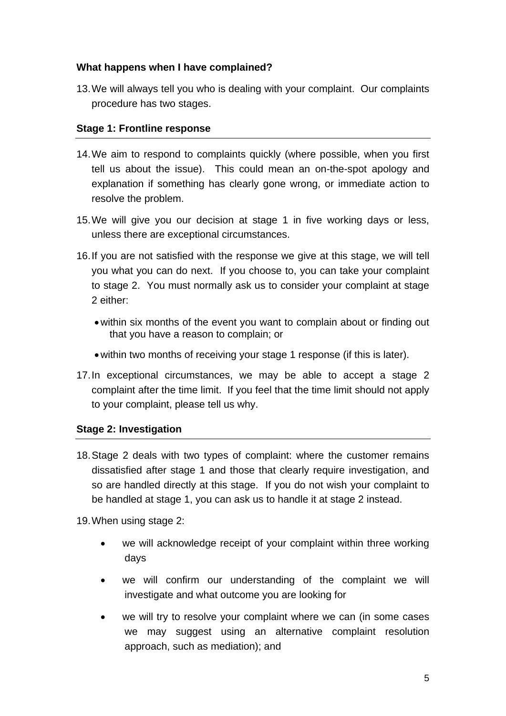### **What happens when I have complained?**

13.We will always tell you who is dealing with your complaint. Our complaints procedure has two stages.

#### **Stage 1: Frontline response**

- 14.We aim to respond to complaints quickly (where possible, when you first tell us about the issue). This could mean an on-the-spot apology and explanation if something has clearly gone wrong, or immediate action to resolve the problem.
- 15.We will give you our decision at stage 1 in five working days or less, unless there are exceptional circumstances.
- 16.If you are not satisfied with the response we give at this stage, we will tell you what you can do next. If you choose to, you can take your complaint to stage 2. You must normally ask us to consider your complaint at stage 2 either:
	- within six months of the event you want to complain about or finding out that you have a reason to complain; or
	- within two months of receiving your stage 1 response (if this is later).
- 17.In exceptional circumstances, we may be able to accept a stage 2 complaint after the time limit. If you feel that the time limit should not apply to your complaint, please tell us why.

# **Stage 2: Investigation**

18.Stage 2 deals with two types of complaint: where the customer remains dissatisfied after stage 1 and those that clearly require investigation, and so are handled directly at this stage. If you do not wish your complaint to be handled at stage 1, you can ask us to handle it at stage 2 instead.

19.When using stage 2:

- we will acknowledge receipt of your complaint within three working days
- we will confirm our understanding of the complaint we will investigate and what outcome you are looking for
- we will try to resolve your complaint where we can (in some cases we may suggest using an alternative complaint resolution approach, such as mediation); and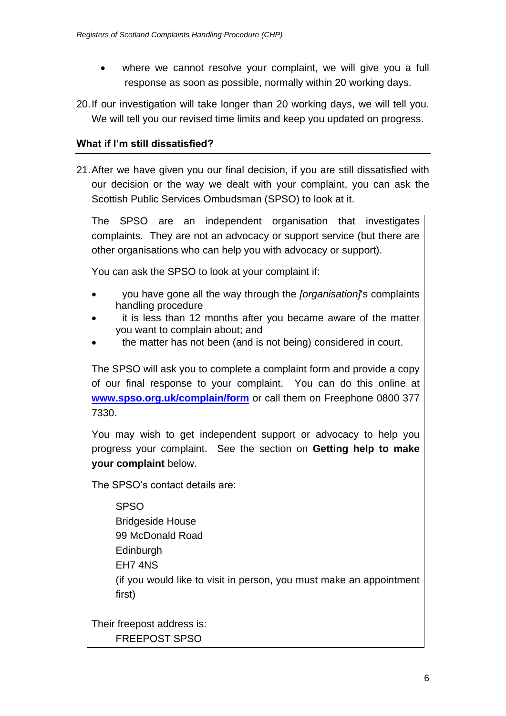- where we cannot resolve your complaint, we will give you a full response as soon as possible, normally within 20 working days.
- 20.If our investigation will take longer than 20 working days, we will tell you. We will tell you our revised time limits and keep you updated on progress.

# **What if I'm still dissatisfied?**

21.After we have given you our final decision, if you are still dissatisfied with our decision or the way we dealt with your complaint, you can ask the Scottish Public Services Ombudsman (SPSO) to look at it.

The SPSO are an independent organisation that investigates complaints. They are not an advocacy or support service (but there are other organisations who can help you with advocacy or support).

You can ask the SPSO to look at your complaint if:

- you have gone all the way through the *[organisation]*'s complaints handling procedure
- it is less than 12 months after you became aware of the matter you want to complain about; and
- the matter has not been (and is not being) considered in court.

The SPSO will ask you to complete a complaint form and provide a copy of our final response to your complaint. You can do this online at **[www.spso.org.uk/complain/form](http://www.spso.org.uk/complain/form)** or call them on Freephone 0800 377 7330.

You may wish to get independent support or advocacy to help you progress your complaint. See the section on **Getting help to make your complaint** below.

The SPSO's contact details are:

SPSO Bridgeside House 99 McDonald Road **Edinburgh** EH7 4NS (if you would like to visit in person, you must make an appointment first)

Their freepost address is: FREEPOST SPSO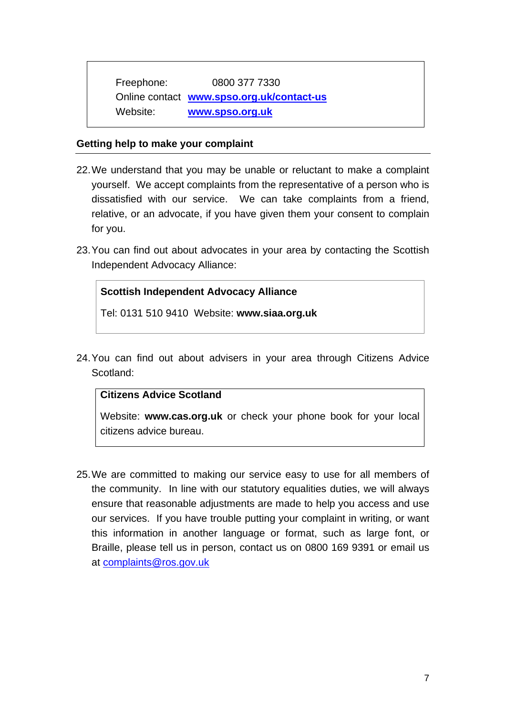Freephone: 0800 377 7330 Online contact **[www.spso.org.uk/contact-us](http://www.spso.org.uk/contact-us)** Website: **[www.spso.org.uk](http://www.spso.org.uk/)**

#### **Getting help to make your complaint**

- 22.We understand that you may be unable or reluctant to make a complaint yourself. We accept complaints from the representative of a person who is dissatisfied with our service. We can take complaints from a friend, relative, or an advocate, if you have given them your consent to complain for you.
- 23.You can find out about advocates in your area by contacting the Scottish Independent Advocacy Alliance:

# **Scottish Independent Advocacy Alliance**

Tel: 0131 510 9410 Website: **www.siaa.org.uk**

24.You can find out about advisers in your area through Citizens Advice Scotland:

# **Citizens Advice Scotland**

Website: **www.cas.org.uk** or check your phone book for your local citizens advice bureau.

25.We are committed to making our service easy to use for all members of the community. In line with our statutory equalities duties, we will always ensure that reasonable adjustments are made to help you access and use our services. If you have trouble putting your complaint in writing, or want this information in another language or format, such as large font, or Braille, please tell us in person, contact us on 0800 169 9391 or email us at [complaints@ros.gov.uk](mailto:complaints@ros.gov.uk)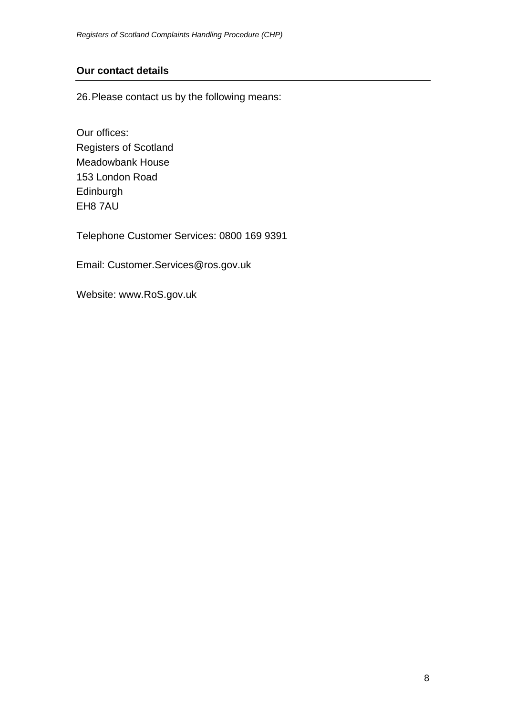#### **Our contact details**

26.Please contact us by the following means:

Our offices: Registers of Scotland Meadowbank House 153 London Road Edinburgh EH8 7AU

Telephone Customer Services: 0800 169 9391

Email: Customer.Services@ros.gov.uk

Website: www.RoS.gov.uk